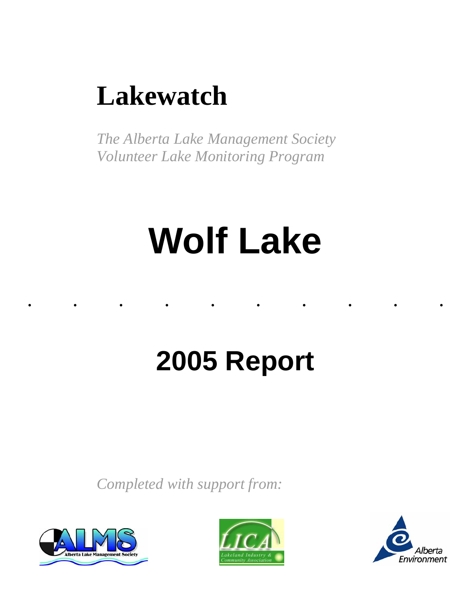# **Lakewatch**

*The Alberta Lake Management Society Volunteer Lake Monitoring Program* 

# **Wolf Lake**

......... .

# **2005 Report**

*Completed with support from:* 





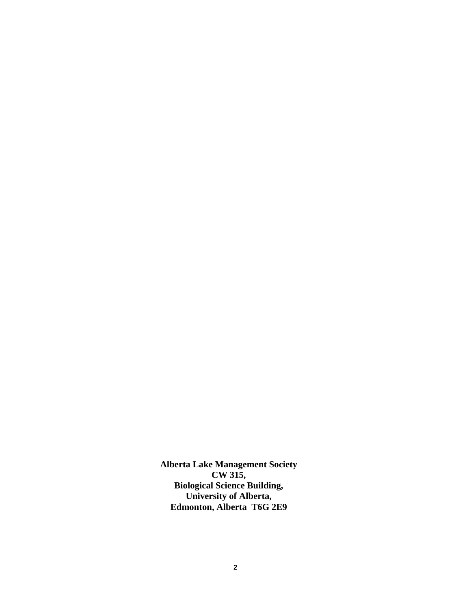**Alberta Lake Management Society CW 315, Biological Science Building, University of Alberta, Edmonton, Alberta T6G 2E9**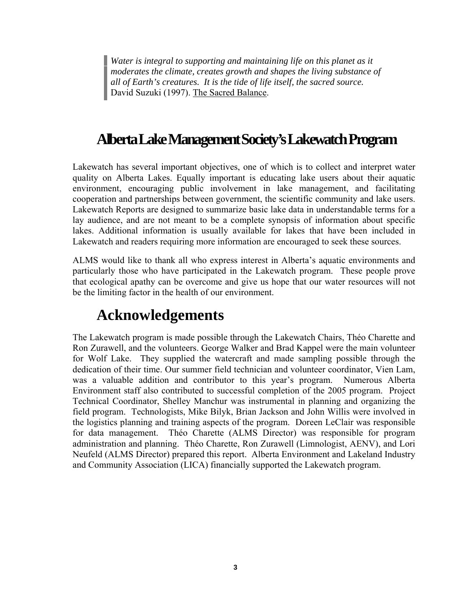*Water is integral to supporting and maintaining life on this planet as it moderates the climate, creates growth and shapes the living substance of all of Earth's creatures. It is the tide of life itself, the sacred source.*  David Suzuki (1997). The Sacred Balance.

# **Alberta Lake Management Society's Lakewatch Program**

Lakewatch has several important objectives, one of which is to collect and interpret water quality on Alberta Lakes. Equally important is educating lake users about their aquatic environment, encouraging public involvement in lake management, and facilitating cooperation and partnerships between government, the scientific community and lake users. Lakewatch Reports are designed to summarize basic lake data in understandable terms for a lay audience, and are not meant to be a complete synopsis of information about specific lakes. Additional information is usually available for lakes that have been included in Lakewatch and readers requiring more information are encouraged to seek these sources.

ALMS would like to thank all who express interest in Alberta's aquatic environments and particularly those who have participated in the Lakewatch program. These people prove that ecological apathy can be overcome and give us hope that our water resources will not be the limiting factor in the health of our environment.

# **Acknowledgements**

The Lakewatch program is made possible through the Lakewatch Chairs, Théo Charette and Ron Zurawell, and the volunteers. George Walker and Brad Kappel were the main volunteer for Wolf Lake. They supplied the watercraft and made sampling possible through the dedication of their time. Our summer field technician and volunteer coordinator, Vien Lam, was a valuable addition and contributor to this year's program. Numerous Alberta Environment staff also contributed to successful completion of the 2005 program. Project Technical Coordinator, Shelley Manchur was instrumental in planning and organizing the field program. Technologists, Mike Bilyk, Brian Jackson and John Willis were involved in the logistics planning and training aspects of the program. Doreen LeClair was responsible for data management. Théo Charette (ALMS Director) was responsible for program administration and planning. Théo Charette, Ron Zurawell (Limnologist, AENV), and Lori Neufeld (ALMS Director) prepared this report. Alberta Environment and Lakeland Industry and Community Association (LICA) financially supported the Lakewatch program.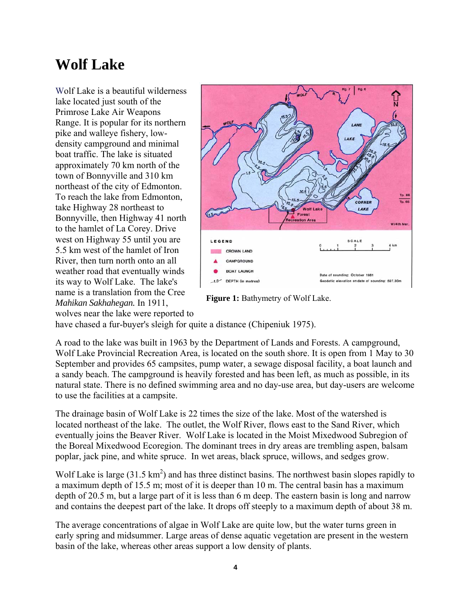# **Wolf Lake**

Wolf Lake is a beautiful wilderness lake located just south of the Primrose Lake Air Weapons Range. It is popular for its northern pike and walleye fishery, lowdensity campground and minimal boat traffic. The lake is situated approximately 70 km north of the town of Bonnyville and 310 km northeast of the city of Edmonton. To reach the lake from Edmonton, take Highway 28 northeast to Bonnyville, then Highway 41 north to the hamlet of La Corey. Drive west on Highway 55 until you are 5.5 km west of the hamlet of Iron River, then turn north onto an all weather road that eventually winds its way to Wolf Lake. The lake's name is a translation from the Cree *Mahikan Sakhahegan.* In 1911, wolves near the lake were reported to



**Figure 1:** Bathymetry of Wolf Lake.

have chased a fur-buyer's sleigh for quite a distance (Chipeniuk 1975).

A road to the lake was built in 1963 by the Department of Lands and Forests. A campground, Wolf Lake Provincial Recreation Area, is located on the south shore. It is open from 1 May to 30 September and provides 65 campsites, pump water, a sewage disposal facility, a boat launch and a sandy beach. The campground is heavily forested and has been left, as much as possible, in its natural state. There is no defined swimming area and no day-use area, but day-users are welcome to use the facilities at a campsite.

The drainage basin of Wolf Lake is 22 times the size of the lake. Most of the watershed is located northeast of the lake. The outlet, the Wolf River, flows east to the Sand River, which eventually joins the Beaver River. Wolf Lake is located in the Moist Mixedwood Subregion of the Boreal Mixedwood Ecoregion. The dominant trees in dry areas are trembling aspen, balsam poplar, jack pine, and white spruce. In wet areas, black spruce, willows, and sedges grow.

Wolf Lake is large (31.5 km<sup>2</sup>) and has three distinct basins. The northwest basin slopes rapidly to a maximum depth of 15.5 m; most of it is deeper than 10 m. The central basin has a maximum depth of 20.5 m, but a large part of it is less than 6 m deep. The eastern basin is long and narrow and contains the deepest part of the lake. It drops off steeply to a maximum depth of about 38 m.

The average concentrations of algae in Wolf Lake are quite low, but the water turns green in early spring and midsummer. Large areas of dense aquatic vegetation are present in the western basin of the lake, whereas other areas support a low density of plants.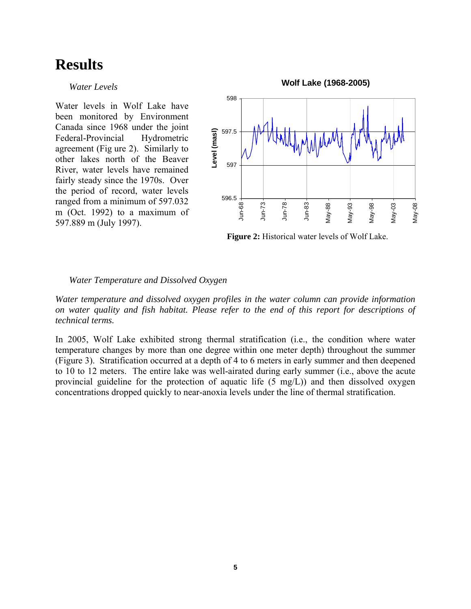## **Results**

## *Water Levels*

Water levels in Wolf Lake have been monitored by Environment Canada since 1968 under the joint Federal-Provincial Hydrometric agreement (Fig ure 2). Similarly to other lakes north of the Beaver River, water levels have remained fairly steady since the 1970s. Over the period of record, water levels ranged from a minimum of 597.032 m (Oct. 1992) to a maximum of 597.889 m (July 1997).



**Figure 2:** Historical water levels of Wolf Lake.

## *Water Temperature and Dissolved Oxygen*

*Water temperature and dissolved oxygen profiles in the water column can provide information on water quality and fish habitat. Please refer to the end of this report for descriptions of technical terms.* 

In 2005, Wolf Lake exhibited strong thermal stratification (i.e., the condition where water temperature changes by more than one degree within one meter depth) throughout the summer (Figure 3). Stratification occurred at a depth of 4 to 6 meters in early summer and then deepened to 10 to 12 meters. The entire lake was well-airated during early summer (i.e., above the acute provincial guideline for the protection of aquatic life (5 mg/L)) and then dissolved oxygen concentrations dropped quickly to near-anoxia levels under the line of thermal stratification.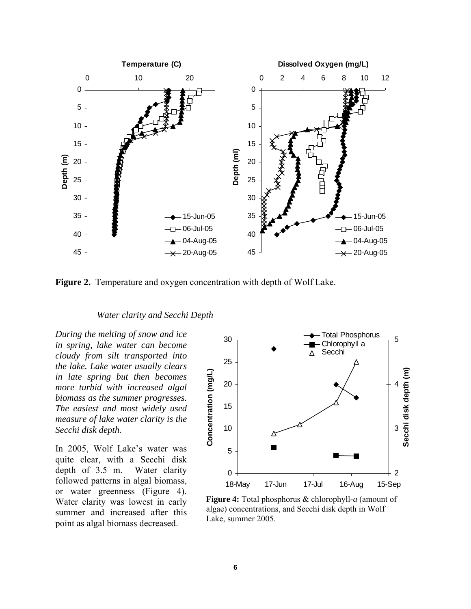

**Figure 2.** Temperature and oxygen concentration with depth of Wolf Lake.

### *Water clarity and Secchi Depth*

*During the melting of snow and ice in spring, lake water can become cloudy from silt transported into the lake. Lake water usually clears in late spring but then becomes more turbid with increased algal biomass as the summer progresses. The easiest and most widely used measure of lake water clarity is the Secchi disk depth.* 

In 2005, Wolf Lake's water was quite clear, with a Secchi disk depth of 3.5 m. Water clarity followed patterns in algal biomass, or water greenness (Figure 4). Water clarity was lowest in early summer and increased after this point as algal biomass decreased.



**Figure 4:** Total phosphorus & chlorophyll-*a* (amount of algae) concentrations, and Secchi disk depth in Wolf Lake, summer 2005.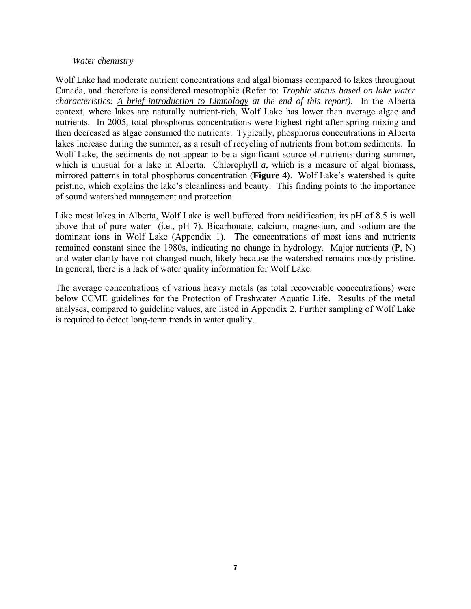## *Water chemistry*

Wolf Lake had moderate nutrient concentrations and algal biomass compared to lakes throughout Canada, and therefore is considered mesotrophic (Refer to: *Trophic status based on lake water characteristics: A brief introduction to Limnology at the end of this report)*. In the Alberta context, where lakes are naturally nutrient-rich, Wolf Lake has lower than average algae and nutrients. In 2005, total phosphorus concentrations were highest right after spring mixing and then decreased as algae consumed the nutrients. Typically, phosphorus concentrations in Alberta lakes increase during the summer, as a result of recycling of nutrients from bottom sediments. In Wolf Lake, the sediments do not appear to be a significant source of nutrients during summer, which is unusual for a lake in Alberta. Chlorophyll *a*, which is a measure of algal biomass, mirrored patterns in total phosphorus concentration (**Figure 4**). Wolf Lake's watershed is quite pristine, which explains the lake's cleanliness and beauty. This finding points to the importance of sound watershed management and protection.

Like most lakes in Alberta, Wolf Lake is well buffered from acidification; its pH of 8.5 is well above that of pure water (i.e., pH 7). Bicarbonate, calcium, magnesium, and sodium are the dominant ions in Wolf Lake (Appendix 1). The concentrations of most ions and nutrients remained constant since the 1980s, indicating no change in hydrology. Major nutrients (P, N) and water clarity have not changed much, likely because the watershed remains mostly pristine. In general, there is a lack of water quality information for Wolf Lake.

The average concentrations of various heavy metals (as total recoverable concentrations) were below CCME guidelines for the Protection of Freshwater Aquatic Life. Results of the metal analyses, compared to guideline values, are listed in Appendix 2. Further sampling of Wolf Lake is required to detect long-term trends in water quality.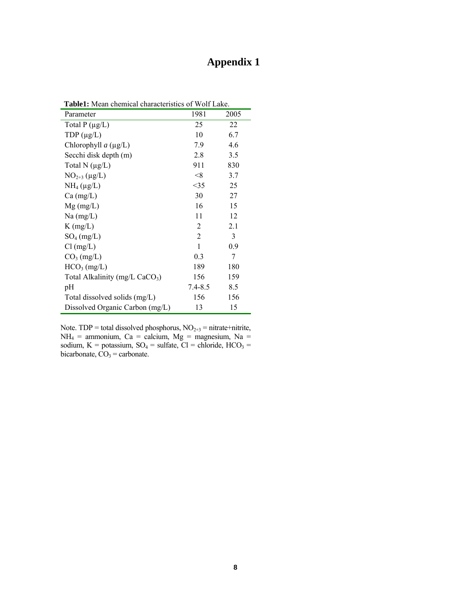## **Appendix 1**

| <b>Table1:</b> Mean chemical characteristics of Wolf Lake. |                |      |  |  |
|------------------------------------------------------------|----------------|------|--|--|
| Parameter                                                  | 1981           | 2005 |  |  |
| Total $P(\mu g/L)$                                         | 25             | 22   |  |  |
| TDP $(\mu g/L)$                                            | 10             | 6.7  |  |  |
| Chlorophyll $a$ ( $\mu$ g/L)                               | 7.9            | 4.6  |  |  |
| Secchi disk depth (m)                                      | 2.8            | 3.5  |  |  |
| Total N $(\mu g/L)$                                        | 911            | 830  |  |  |
| $NO2+3 (\mu g/L)$                                          | < 8            | 3.7  |  |  |
| $NH_4(\mu g/L)$                                            | <35            | 25   |  |  |
| $Ca \, (mg/L)$                                             | 30             | 27   |  |  |
| $Mg$ (mg/L)                                                | 16             | 15   |  |  |
| $Na$ (mg/L)                                                | 11             | 12   |  |  |
| $K$ (mg/L)                                                 | 2              | 2.1  |  |  |
| $SO_4$ (mg/L)                                              | $\overline{2}$ | 3    |  |  |
| $Cl$ (mg/L)                                                | $\mathbf{1}$   | 0.9  |  |  |
| $CO3$ (mg/L)                                               | 0.3            | 7    |  |  |
| HCO <sub>3</sub> (mg/L)                                    | 189            | 180  |  |  |
| Total Alkalinity (mg/L CaCO <sub>3</sub> )                 | 156            | 159  |  |  |
| pH                                                         | $7.4 - 8.5$    | 8.5  |  |  |
| Total dissolved solids (mg/L)                              | 156            | 156  |  |  |
| Dissolved Organic Carbon (mg/L)                            | 13             | 15   |  |  |

**Table1:** Mean chemical characteristics of Wolf Lake.

Note. TDP = total dissolved phosphorus,  $NO<sub>2+3</sub>$  = nitrate+nitrite,  $NH_4$  = ammonium, Ca = calcium, Mg = magnesium, Na = sodium, K = potassium,  $SO_4$  = sulfate, Cl = chloride, HCO<sub>3</sub> = bicarbonate,  $CO<sub>3</sub> =$  carbonate.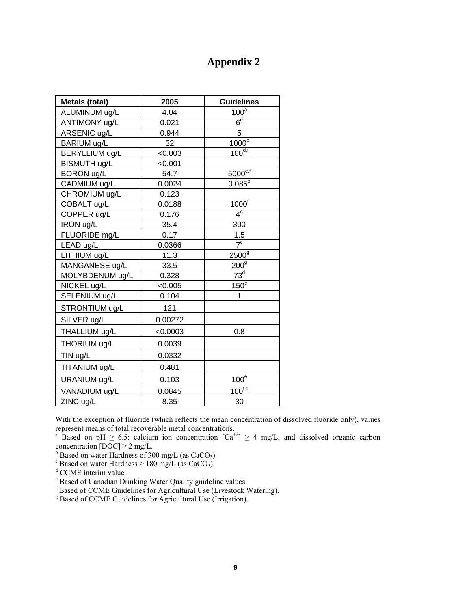## **Appendix 2**

| <b>Metals (total)</b> | 2005     | <b>Guidelines</b>                 |
|-----------------------|----------|-----------------------------------|
| ALUMINUM ug/L         | 4.04     | 100 <sup>a</sup>                  |
| ANTIMONY ug/L         | 0.021    | $6^e$                             |
| ARSENIC ug/L          | 0.944    | 5                                 |
| BARIUM ug/L           | 32       | $1000^\circ$                      |
| BERYLLIUM ug/L        | < 0.003  | $100^{d,f}$                       |
| BISMUTH ug/L          | < 0.001  |                                   |
| <b>BORON ug/L</b>     | 54.7     | $\underline{5000}^{\mathrm{e,f}}$ |
| CADMIUM ug/L          | 0.0024   | $0.085^{b}$                       |
| CHROMIUM ug/L         | 0.123    |                                   |
| COBALT ug/L           | 0.0188   | $1000^{\dagger}$                  |
| COPPER ug/L           | 0.176    | 4 <sup>c</sup>                    |
| IRON ug/L             | 35.4     | 300                               |
| FLUORIDE mg/L         | 0.17     | 1.5                               |
| LEAD ug/L             | 0.0366   | 7 <sup>c</sup>                    |
| LITHIUM ug/L          | 11.3     | 2500 <sup>9</sup>                 |
| MANGANESE ug/L        | 33.5     | 200 <sup>9</sup>                  |
| MOLYBDENUM ug/L       | 0.328    | $73^{\overline{d}}$               |
| NICKEL ug/L           | < 0.005  | $150^{\circ}$                     |
| SELENIUM ug/L         | 0.104    | 1                                 |
| STRONTIUM ug/L        | 121      |                                   |
| SILVER ug/L           | 0.00272  |                                   |
| THALLIUM ug/L         | < 0.0003 | 0.8                               |
| THORIUM ug/L          | 0.0039   |                                   |
| TIN ug/L              | 0.0332   |                                   |
| TITANIUM ug/L         | 0.481    |                                   |
| URANIUM ug/L          | 0.103    | 100 <sup>e</sup>                  |
| VANADIUM ug/L         | 0.0845   | $100^{f, g}$                      |
| ZINC ug/L             | 8.35     | 30                                |

With the exception of fluoride (which reflects the mean concentration of dissolved fluoride only), values represent means of total recoverable metal concentrations. a

<sup>a</sup> Based on pH  $\geq 6.5$ ; calcium ion concentration  $\lceil Ca^{+2} \rceil \geq 4$  mg/L; and dissolved organic carbon concentration [DOC]  $\geq 2$  mg/L.<br><sup>b</sup> Based on water Hardness of 300 mg/L (as CaCO<sub>3</sub>).<br><sup>c</sup> Based on water Hardness > 180 mg/L (as CaCO<sub>3</sub>).

<sup>d</sup> CCME interim value.

e Based of Canadian Drinking Water Quality guideline values.

f Based of CCME Guidelines for Agricultural Use (Livestock Watering).

<sup>g</sup> Based of CCME Guidelines for Agricultural Use (Irrigation).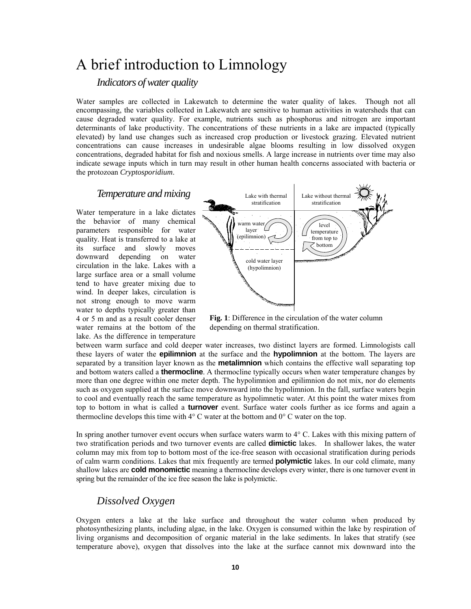## A brief introduction to Limnology

## *Indicators of water quality*

Water samples are collected in Lakewatch to determine the water quality of lakes. Though not all encompassing, the variables collected in Lakewatch are sensitive to human activities in watersheds that can cause degraded water quality. For example, nutrients such as phosphorus and nitrogen are important determinants of lake productivity. The concentrations of these nutrients in a lake are impacted (typically elevated) by land use changes such as increased crop production or livestock grazing. Elevated nutrient concentrations can cause increases in undesirable algae blooms resulting in low dissolved oxygen concentrations, degraded habitat for fish and noxious smells. A large increase in nutrients over time may also indicate sewage inputs which in turn may result in other human health concerns associated with bacteria or the protozoan *Cryptosporidium*.

### *Temperature and mixing*

Water temperature in a lake dictates the behavior of many chemical parameters responsible for water quality. Heat is transferred to a lake at its surface and slowly moves downward depending on water circulation in the lake. Lakes with a large surface area or a small volume tend to have greater mixing due to wind. In deeper lakes, circulation is not strong enough to move warm water to depths typically greater than 4 or 5 m and as a result cooler denser water remains at the bottom of the lake. As the difference in temperature



**Fig. 1**: Difference in the circulation of the water column depending on thermal stratification.

between warm surface and cold deeper water increases, two distinct layers are formed. Limnologists call these layers of water the **epilimnion** at the surface and the **hypolimnion** at the bottom. The layers are separated by a transition layer known as the **metalimnion** which contains the effective wall separating top and bottom waters called a **thermocline**. A thermocline typically occurs when water temperature changes by more than one degree within one meter depth. The hypolimnion and epilimnion do not mix, nor do elements such as oxygen supplied at the surface move downward into the hypolimnion. In the fall, surface waters begin to cool and eventually reach the same temperature as hypolimnetic water. At this point the water mixes from top to bottom in what is called a **turnover** event. Surface water cools further as ice forms and again a thermocline develops this time with  $4^{\circ}$  C water at the bottom and  $0^{\circ}$  C water on the top.

In spring another turnover event occurs when surface waters warm to 4° C. Lakes with this mixing pattern of two stratification periods and two turnover events are called **dimictic** lakes. In shallower lakes, the water column may mix from top to bottom most of the ice-free season with occasional stratification during periods of calm warm conditions. Lakes that mix frequently are termed **polymictic** lakes. In our cold climate, many shallow lakes are **cold monomictic** meaning a thermocline develops every winter, there is one turnover event in spring but the remainder of the ice free season the lake is polymictic.

## *Dissolved Oxygen*

Oxygen enters a lake at the lake surface and throughout the water column when produced by photosynthesizing plants, including algae, in the lake. Oxygen is consumed within the lake by respiration of living organisms and decomposition of organic material in the lake sediments. In lakes that stratify (see temperature above), oxygen that dissolves into the lake at the surface cannot mix downward into the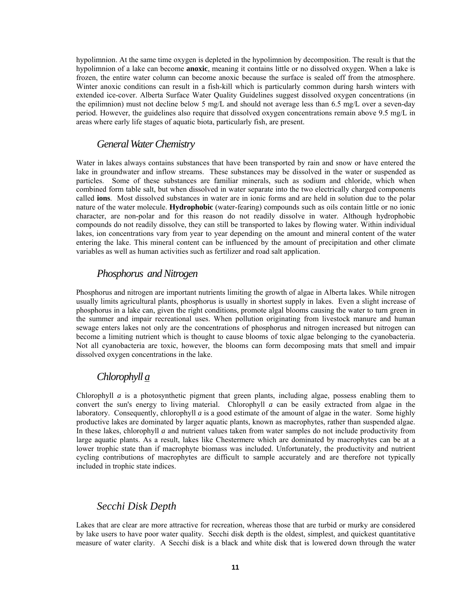hypolimnion. At the same time oxygen is depleted in the hypolimnion by decomposition. The result is that the hypolimnion of a lake can become **anoxic**, meaning it contains little or no dissolved oxygen. When a lake is frozen, the entire water column can become anoxic because the surface is sealed off from the atmosphere. Winter anoxic conditions can result in a fish-kill which is particularly common during harsh winters with extended ice-cover. Alberta Surface Water Quality Guidelines suggest dissolved oxygen concentrations (in the epilimnion) must not decline below 5 mg/L and should not average less than 6.5 mg/L over a seven-day period. However, the guidelines also require that dissolved oxygen concentrations remain above 9.5 mg/L in areas where early life stages of aquatic biota, particularly fish, are present.

## *General Water Chemistry*

Water in lakes always contains substances that have been transported by rain and snow or have entered the lake in groundwater and inflow streams. These substances may be dissolved in the water or suspended as particles. Some of these substances are familiar minerals, such as sodium and chloride, which when combined form table salt, but when dissolved in water separate into the two electrically charged components called **ions**. Most dissolved substances in water are in ionic forms and are held in solution due to the polar nature of the water molecule. **Hydrophobic** (water-fearing) compounds such as oils contain little or no ionic character, are non-polar and for this reason do not readily dissolve in water. Although hydrophobic compounds do not readily dissolve, they can still be transported to lakes by flowing water. Within individual lakes, ion concentrations vary from year to year depending on the amount and mineral content of the water entering the lake. This mineral content can be influenced by the amount of precipitation and other climate variables as well as human activities such as fertilizer and road salt application.

## *Phosphorus and Nitrogen*

Phosphorus and nitrogen are important nutrients limiting the growth of algae in Alberta lakes. While nitrogen usually limits agricultural plants, phosphorus is usually in shortest supply in lakes. Even a slight increase of phosphorus in a lake can, given the right conditions, promote algal blooms causing the water to turn green in the summer and impair recreational uses. When pollution originating from livestock manure and human sewage enters lakes not only are the concentrations of phosphorus and nitrogen increased but nitrogen can become a limiting nutrient which is thought to cause blooms of toxic algae belonging to the cyanobacteria. Not all cyanobacteria are toxic, however, the blooms can form decomposing mats that smell and impair dissolved oxygen concentrations in the lake.

## *Chlorophyll a*

Chlorophyll *a* is a photosynthetic pigment that green plants, including algae, possess enabling them to convert the sun's energy to living material. Chlorophyll *a* can be easily extracted from algae in the laboratory. Consequently, chlorophyll *a* is a good estimate of the amount of algae in the water. Some highly productive lakes are dominated by larger aquatic plants, known as macrophytes, rather than suspended algae. In these lakes, chlorophyll *a* and nutrient values taken from water samples do not include productivity from large aquatic plants. As a result, lakes like Chestermere which are dominated by macrophytes can be at a lower trophic state than if macrophyte biomass was included. Unfortunately, the productivity and nutrient cycling contributions of macrophytes are difficult to sample accurately and are therefore not typically included in trophic state indices.

#### *Secchi Disk Depth*

Lakes that are clear are more attractive for recreation, whereas those that are turbid or murky are considered by lake users to have poor water quality. Secchi disk depth is the oldest, simplest, and quickest quantitative measure of water clarity. A Secchi disk is a black and white disk that is lowered down through the water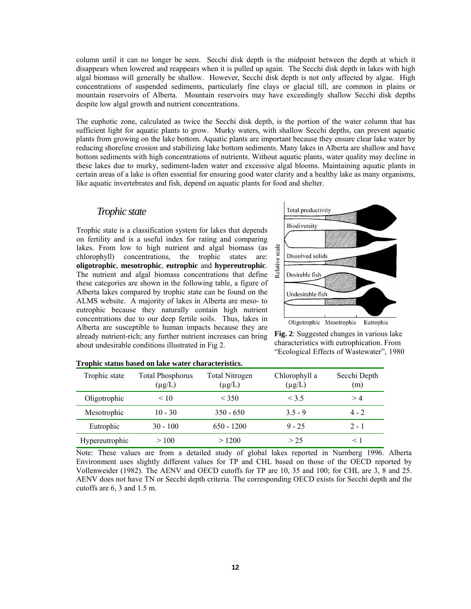column until it can no longer be seen. Secchi disk depth is the midpoint between the depth at which it disappears when lowered and reappears when it is pulled up again. The Secchi disk depth in lakes with high algal biomass will generally be shallow. However, Secchi disk depth is not only affected by algae. High concentrations of suspended sediments, particularly fine clays or glacial till, are common in plains or mountain reservoirs of Alberta. Mountain reservoirs may have exceedingly shallow Secchi disk depths despite low algal growth and nutrient concentrations.

The euphotic zone, calculated as twice the Secchi disk depth, is the portion of the water column that has sufficient light for aquatic plants to grow. Murky waters, with shallow Secchi depths, can prevent aquatic plants from growing on the lake bottom. Aquatic plants are important because they ensure clear lake water by reducing shoreline erosion and stabilizing lake bottom sediments. Many lakes in Alberta are shallow and have bottom sediments with high concentrations of nutrients. Without aquatic plants, water quality may decline in these lakes due to murky, sediment-laden water and excessive algal blooms. Maintaining aquatic plants in certain areas of a lake is often essential for ensuring good water clarity and a healthy lake as many organisms, like aquatic invertebrates and fish, depend on aquatic plants for food and shelter.

## *Trophic state*

Trophic state is a classification system for lakes that depends on fertility and is a useful index for rating and comparing lakes. From low to high nutrient and algal biomass (as chlorophyll) concentrations, the trophic states are: **oligotrophic**, **mesotrophic**, **eutrophic** and **hypereutrophic**. The nutrient and algal biomass concentrations that define these categories are shown in the following table, a figure of Alberta lakes compared by trophic state can be found on the ALMS website. A majority of lakes in Alberta are meso- to eutrophic because they naturally contain high nutrient concentrations due to our deep fertile soils. Thus, lakes in Alberta are susceptible to human impacts because they are already nutrient-rich; any further nutrient increases can bring about undesirable conditions illustrated in Fig 2.



**Fig. 2**: Suggested changes in various lake characteristics with eutrophication. From "Ecological Effects of Wastewater", 1980

| Trophic state  | <b>Total Phosphorus</b><br>$(\mu$ g/L) | Total Nitrogen<br>$(\mu g/L)$ | Chlorophyll a<br>$(\mu g/L)$ | Secchi Depth<br>(m) |
|----------------|----------------------------------------|-------------------------------|------------------------------|---------------------|
| Oligotrophic   | < 10                                   | < 350                         | $<$ 3.5                      | >4                  |
| Mesotrophic    | $10 - 30$                              | $350 - 650$                   | $35 - 9$                     | $4 - 2$             |
| Eutrophic      | $30 - 100$                             | $650 - 1200$                  | $9 - 25$                     | $2 - 1$             |
| Hypereutrophic | >100                                   | >1200                         | > 25                         | < ।                 |

**Trophic status based on lake water characteristics.** 

Note: These values are from a detailed study of global lakes reported in Nurnberg 1996. Alberta Environment uses slightly different values for TP and CHL based on those of the OECD reported by Vollenweider (1982). The AENV and OECD cutoffs for TP are 10, 35 and 100; for CHL are 3, 8 and 25. AENV does not have TN or Secchi depth criteria. The corresponding OECD exists for Secchi depth and the cutoffs are 6, 3 and 1.5 m.